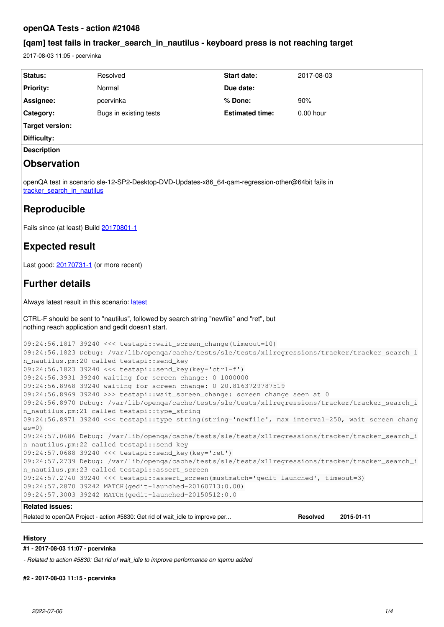# **openQA Tests - action #21048**

# **[qam] test fails in tracker\_search\_in\_nautilus - keyboard press is not reaching target**

2017-08-03 11:05 - pcervinka

| Status:                                                                                                                                                    | Resolved                                                                                           | <b>Start date:</b>     | 2017-08-03      |            |
|------------------------------------------------------------------------------------------------------------------------------------------------------------|----------------------------------------------------------------------------------------------------|------------------------|-----------------|------------|
| <b>Priority:</b>                                                                                                                                           | Normal                                                                                             | Due date:              |                 |            |
| Assignee:                                                                                                                                                  | pcervinka                                                                                          | % Done:                | 90%             |            |
| Category:                                                                                                                                                  | Bugs in existing tests                                                                             | <b>Estimated time:</b> | $0.00$ hour     |            |
| <b>Target version:</b>                                                                                                                                     |                                                                                                    |                        |                 |            |
| Difficulty:                                                                                                                                                |                                                                                                    |                        |                 |            |
| <b>Description</b>                                                                                                                                         |                                                                                                    |                        |                 |            |
| <b>Observation</b>                                                                                                                                         |                                                                                                    |                        |                 |            |
| openQA test in scenario sle-12-SP2-Desktop-DVD-Updates-x86_64-qam-regression-other@64bit fails in<br>tracker search in nautilus                            |                                                                                                    |                        |                 |            |
| Reproducible                                                                                                                                               |                                                                                                    |                        |                 |            |
| Fails since (at least) Build 20170801-1                                                                                                                    |                                                                                                    |                        |                 |            |
| <b>Expected result</b>                                                                                                                                     |                                                                                                    |                        |                 |            |
| Last good: 20170731-1 (or more recent)                                                                                                                     |                                                                                                    |                        |                 |            |
| <b>Further details</b>                                                                                                                                     |                                                                                                    |                        |                 |            |
| Always latest result in this scenario: latest                                                                                                              |                                                                                                    |                        |                 |            |
| CTRL-F should be sent to "nautilus", followed by search string "newfile" and "ret", but<br>nothing reach application and gedit doesn't start.              |                                                                                                    |                        |                 |            |
| 09:24:56.1817 39240 <<< testapi::wait_screen_change(timeout=10)                                                                                            |                                                                                                    |                        |                 |            |
| 09:24:56.1823 Debug: /var/lib/openqa/cache/tests/sle/tests/x11regressions/tracker/tracker_search_i                                                         |                                                                                                    |                        |                 |            |
| n_nautilus.pm:20 called testapi::send_key<br>09:24:56.1823 39240 <<< testapi::send_key(key='ctrl-f')                                                       |                                                                                                    |                        |                 |            |
| 09:24:56.3931 39240 waiting for screen change: 0 1000000                                                                                                   |                                                                                                    |                        |                 |            |
| 09:24:56.8968 39240 waiting for screen change: 0 20.8163729787519                                                                                          |                                                                                                    |                        |                 |            |
| 09:24:56.8969 39240 >>> testapi::wait_screen_change: screen change seen at 0                                                                               |                                                                                                    |                        |                 |            |
| 09:24:56.8970 Debug: /var/lib/openqa/cache/tests/sle/tests/x11regressions/tracker/tracker_search_i<br>n_nautilus.pm:21 called testapi::type_string         |                                                                                                    |                        |                 |            |
| $es=0$ )                                                                                                                                                   | 09:24:56.8971 39240 <<< testapi::type_string(string='newfile', max_interval=250, wait_screen_chang |                        |                 |            |
| 09:24:57.0686 Debug: /var/lib/openqa/cache/tests/sle/tests/x11regressions/tracker/tracker_search_i                                                         |                                                                                                    |                        |                 |            |
| n_nautilus.pm:22 called testapi::send_key                                                                                                                  |                                                                                                    |                        |                 |            |
| 09:24:57.0688 39240 <<< testapi::send_key(key='ret')<br>09:24:57.2739 Debug: /var/lib/openqa/cache/tests/sle/tests/x11regressions/tracker/tracker_search_i |                                                                                                    |                        |                 |            |
| n_nautilus.pm:23 called testapi::assert_screen                                                                                                             |                                                                                                    |                        |                 |            |
| 09:24:57.2740 39240 <<< testapi::assert_screen(mustmatch='gedit-launched', timeout=3)                                                                      |                                                                                                    |                        |                 |            |
|                                                                                                                                                            | 09:24:57.2870 39242 MATCH (gedit-launched-20160713:0.00)                                           |                        |                 |            |
|                                                                                                                                                            | 09:24:57.3003 39242 MATCH (gedit-launched-20150512:0.0                                             |                        |                 |            |
| <b>Related issues:</b>                                                                                                                                     |                                                                                                    |                        |                 |            |
|                                                                                                                                                            | Related to openQA Project - action #5830: Get rid of wait_idle to improve per                      |                        | <b>Resolved</b> | 2015-01-11 |

# **History**

# **#1 - 2017-08-03 11:07 - pcervinka**

*- Related to action #5830: Get rid of wait\_idle to improve performance on !qemu added*

**#2 - 2017-08-03 11:15 - pcervinka**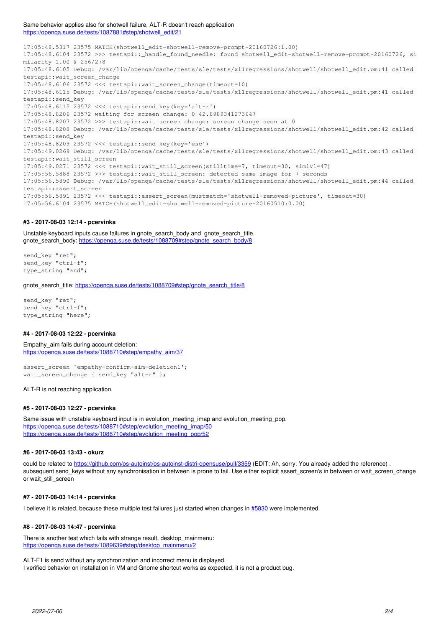Same behavior applies also for shotwell failure, ALT-R doesn't reach application [https://openqa.suse.de/tests/1087881#step/shotwell\\_edit/21](https://openqa.suse.de/tests/1087881#step/shotwell_edit/21)

17:05:48.5317 23575 MATCH(shotwell\_edit-shotwell-remove-prompt-20160726:1.00) 17:05:48.6104 23572 >>> testapi:: handle found needle: found shotwell edit-shotwell-remove-prompt-20160726, si milarity 1.00 @ 256/278 17:05:48.6105 Debug: /var/lib/openqa/cache/tests/sle/tests/x11regressions/shotwell/shotwell\_edit.pm:41 called testapi::wait\_screen\_change 17:05:48.6106 23572 <<< testapi::wait\_screen\_change(timeout=10) 17:05:48.6115 Debug: /var/lib/openqa/cache/tests/sle/tests/x11regressions/shotwell/shotwell\_edit.pm:41 called testapi::send\_key 17:05:48.6115 23572 <<< testapi::send\_key(key='alt-r') 17:05:48.8206 23572 waiting for screen change: 0 42.8989341273647 17:05:48.8207 23572 >>> testapi::wait\_screen\_change: screen change seen at 0 17:05:48.8208 Debug: /var/lib/openqa/cache/tests/sle/tests/x11regressions/shotwell/shotwell\_edit.pm:42 called testapi::send\_key 17:05:48.8209 23572 <<< testapi::send\_key(key='esc') 17:05:49.0269 Debug: /var/lib/openqa/cache/tests/sle/tests/x11regressions/shotwell/shotwell\_edit.pm:43 called testapi::wait\_still\_screen 17:05:49.0271 23572 <<< testapi::wait\_still\_screen(stilltime=7, timeout=30, simlvl=47) 17:05:56.5888 23572 >>> testapi::wait\_still\_screen: detected same image for 7 seconds 17:05:56.5890 Debug: /var/lib/openqa/cache/tests/sle/tests/x11regressions/shotwell/shotwell\_edit.pm:44 called testapi::assert\_screen 17:05:56.5891 23572 <<< testapi::assert\_screen(mustmatch='shotwell-removed-picture', timeout=30) 17:05:56.6104 23575 MATCH(shotwell\_edit-shotwell-removed-picture-20160510:0.00)

# **#3 - 2017-08-03 12:14 - pcervinka**

Unstable keyboard inputs cause failures in gnote\_search\_body and gnote\_search\_title. gnote\_search\_body: https://openga.suse.de/tests/1088709#step/gnote\_search\_body/8

send\_key "ret"; send\_key "ctrl-f"; type\_string "and";

gnote\_search\_title: [https://openqa.suse.de/tests/1088709#step/gnote\\_search\\_title/8](https://openqa.suse.de/tests/1088709#step/gnote_search_title/8)

send\_key "ret"; send key "ctrl-f"; type\_string "here";

# **#4 - 2017-08-03 12:22 - pcervinka**

#### Empathy aim fails during account deletion:

[https://openqa.suse.de/tests/1088710#step/empathy\\_aim/37](https://openqa.suse.de/tests/1088710#step/empathy_aim/37)

assert\_screen 'empathy-confirm-aim-deletion1'; wait\_screen\_change { send\_key "alt-r" };

#### ALT-R is not reaching application.

# **#5 - 2017-08-03 12:27 - pcervinka**

Same issue with unstable keyboard input is in evolution\_meeting\_imap and evolution\_meeting\_pop. https://openga.suse.de/tests/1088710#step/evolution\_meeting\_imap/50 [https://openqa.suse.de/tests/1088710#step/evolution\\_meeting\\_pop/52](https://openqa.suse.de/tests/1088710#step/evolution_meeting_pop/52)

# **#6 - 2017-08-03 13:43 - okurz**

could be related to<https://github.com/os-autoinst/os-autoinst-distri-opensuse/pull/3359>(EDIT: Ah, sorry. You already added the reference) . subsequent send\_keys without any synchronisation in between is prone to fail. Use either explicit assert\_screen's in between or wait\_screen\_change or wait\_still\_screen

# **#7 - 2017-08-03 14:14 - pcervinka**

I believe it is related, because these multiple test failures just started when changes in [#5830](https://progress.opensuse.org/issues/5830) were implemented.

# **#8 - 2017-08-03 14:47 - pcervinka**

There is another test which fails with strange result, desktop\_mainmenu: [https://openqa.suse.de/tests/1089639#step/desktop\\_mainmenu/2](https://openqa.suse.de/tests/1089639#step/desktop_mainmenu/2)

ALT-F1 is send without any synchronization and incorrect menu is displayed. I verified behavior on installation in VM and Gnome shortcut works as expected, it is not a product bug.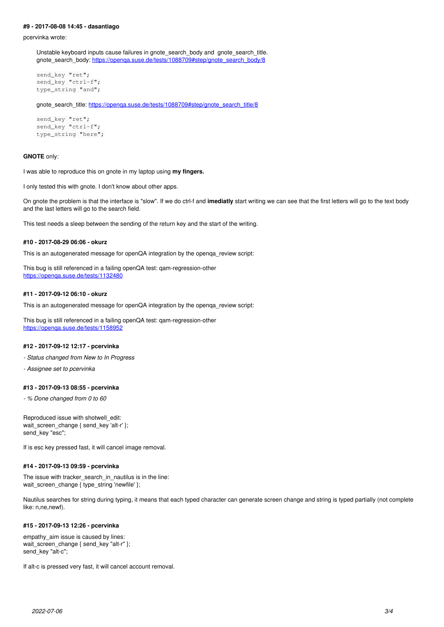#### **#9 - 2017-08-08 14:45 - dasantiago**

pcervinka wrote:

Unstable keyboard inputs cause failures in gnote\_search\_body and gnote\_search\_title. gnote\_search\_body: [https://openqa.suse.de/tests/1088709#step/gnote\\_search\\_body/8](https://openqa.suse.de/tests/1088709#step/gnote_search_body/8)

```
send_key "ret";
send_key "ctrl-f";
type_string "and";
```
gnote\_search\_title: https://openga.suse.de/tests/1088709#step/gnote\_search\_title/8

```
send_key "ret";
send_key "ctrl-f":
type_string "here";
```
#### **GNOTE** only:

I was able to reproduce this on gnote in my laptop using **my fingers.**

I only tested this with gnote. I don't know about other apps.

On gnote the problem is that the interface is "slow". If we do ctrl-f and **imediatly** start writing we can see that the first letters will go to the text body and the last letters will go to the search field.

This test needs a sleep between the sending of the return key and the start of the writing.

# **#10 - 2017-08-29 06:06 - okurz**

This is an autogenerated message for openQA integration by the openqa\_review script:

This bug is still referenced in a failing openQA test: qam-regression-other <https://openqa.suse.de/tests/1132480>

#### **#11 - 2017-09-12 06:10 - okurz**

This is an autogenerated message for openQA integration by the openqa\_review script:

This bug is still referenced in a failing openQA test: qam-regression-other <https://openqa.suse.de/tests/1158952>

# **#12 - 2017-09-12 12:17 - pcervinka**

*- Status changed from New to In Progress*

*- Assignee set to pcervinka*

# **#13 - 2017-09-13 08:55 - pcervinka**

*- % Done changed from 0 to 60*

Reproduced issue with shotwell\_edit: wait\_screen\_change { send\_key 'alt-r' }; send\_key "esc";

If is esc key pressed fast, it will cancel image removal.

# **#14 - 2017-09-13 09:59 - pcervinka**

The issue with tracker search in nautilus is in the line: wait\_screen\_change { type\_string 'newfile' };

Nautilus searches for string during typing, it means that each typed character can generate screen change and string is typed partially (not complete like: n,ne,newf).

# **#15 - 2017-09-13 12:26 - pcervinka**

empathy\_aim issue is caused by lines: wait screen change { send key "alt-r" }; send\_key "alt-c";

If alt-c is pressed very fast, it will cancel account removal.